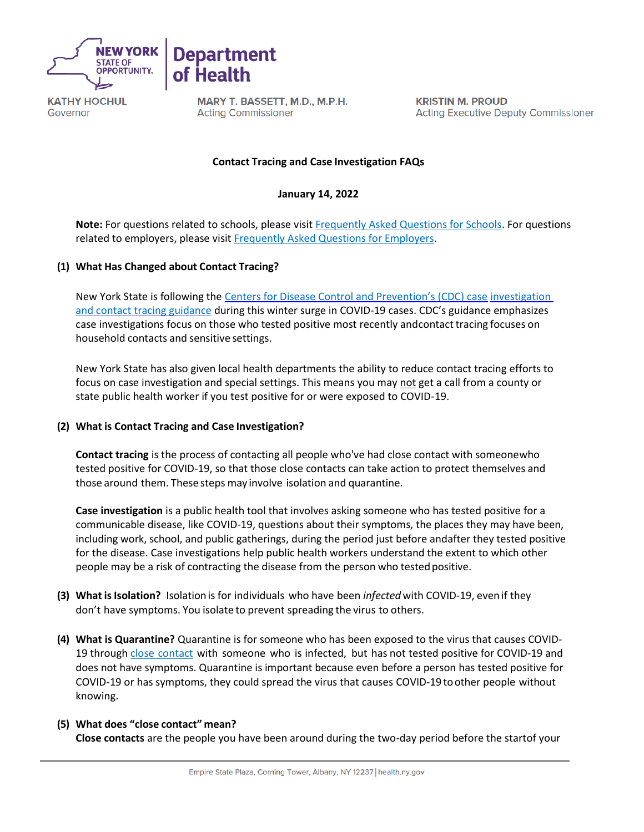

Governor



MARY T. BASSETT, M.D., M.P.H. **Acting Commissioner** 

**KRISTIN M. PROUD Acting Executive Deputy Commissioner** 

## **Contact Tracing and Case Investigation FAQs**

**January 14, 2022**

**Note:** For questions related to schools, please visit [Frequently Asked Questions for Schools.](https://coronavirus.health.ny.gov/contact-tracing-frequently-asked-questions-schools) For questions related to employers, please visi[t Frequently Asked Questions for Employers.](https://coronavirus.health.ny.gov/contact-tracing-frequently-asked-questions-employers)

### **(1) What Has Changed about Contact Tracing?**

New York State is following the [Centers for Disease Control and Prevention's \(CDC\) case](https://www.cdc.gov/coronavirus/2019-ncov/php/contact-tracing/contact-tracing-plan/prioritization.html) [investigation](https://www.cdc.gov/coronavirus/2019-ncov/php/contact-tracing/contact-tracing-plan/prioritization.html)  [and contact tracing guidance](https://www.cdc.gov/coronavirus/2019-ncov/php/contact-tracing/contact-tracing-plan/prioritization.html) during this winter surge in COVID-19 cases. CDC's guidance emphasizes case investigations focus on those who tested positive most recently andcontact tracing focuses on household contacts and sensitive settings.

New York State has also given local health departments the ability to reduce contact tracing efforts to focus on case investigation and special settings. This means you may not get a call from a county or state public health worker if you test positive for or were exposed to COVID-19.

#### **(2) What is Contact Tracing and Case Investigation?**

**Contact tracing** is the process of contacting all people who've had close contact with someonewho tested positive for COVID-19, so that those close contacts can take action to protect themselves and those around them. These steps may involve isolation and quarantine.

**Case investigation** is a public health tool that involves asking someone who has tested positive for a communicable disease, like COVID-19, questions about their symptoms, the places they may have been, including work, school, and public gatherings, during the period just before andafter they tested positive for the disease. Case investigations help public health workers understand the extent to which other people may be a risk of contracting the disease from the person who tested positive.

- **(3) What isIsolation?** Isolationis for individuals who have been *infected*with COVID-19, even if they don't have symptoms. You isolate to prevent spreading the virus to others.
- **(4) What is Quarantine?** Quarantine is for someone who has been exposed to the virus that causes COVID19 through close [contact](https://www.cdc.gov/coronavirus/2019-ncov/php/contact-tracing/contact-tracing-plan/appendix.html#contact) with someone who is infected, but has not tested positive for COVID-19 and does not have symptoms. Quarantine is important because even before a person has tested positive for COVID-19 or has symptoms, they could spread the virus that causes COVID-19 toother people without knowing.

# **(5) What does "close contact" mean? Close contacts** are the people you have been around during the two-day period before the startof your